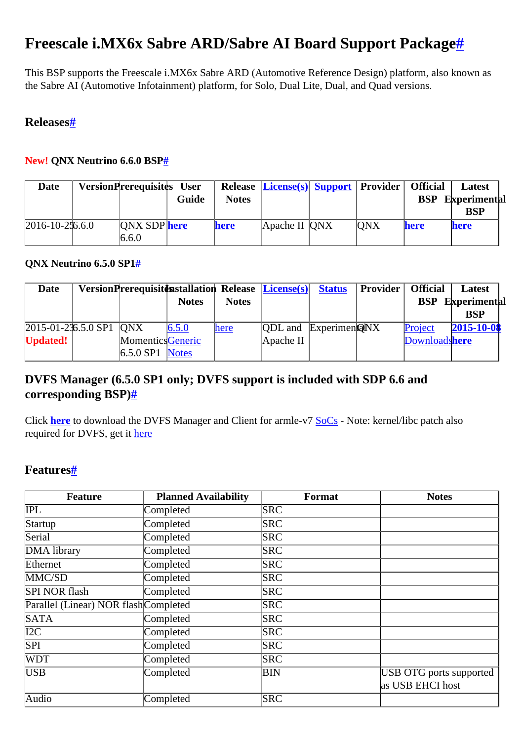# <span id="page-0-0"></span>**Freescale i.MX6x Sabre ARD/Sabre AI Board Support Packag[e#](#page-0-0)**

This BSP supports the Freescale i.MX6x Sabre ARD (Automotive Reference Design) platform, also known as the Sabre AI (Automotive Infotainment) platform, for Solo, Dual Lite, Dual, and Quad versions.

## <span id="page-0-1"></span>**Release[s#](#page-0-1)**

#### <span id="page-0-2"></span>**New! QNX Neutrino 6.6.0 BSP[#](#page-0-2)**

| Date                    | <b>VersionPrerequisites User</b> |       |              | Release <i>License(s)</i> Support Provider   Official |            |            | Latest       |
|-------------------------|----------------------------------|-------|--------------|-------------------------------------------------------|------------|------------|--------------|
|                         |                                  | Guide | <b>Notes</b> |                                                       |            | <b>BSP</b> | Experimental |
|                         |                                  |       |              |                                                       |            |            | <b>BSP</b>   |
| $ 2016 - 10 - 256.6.0 $ | <b>ONX SDP</b> here              |       | <b>here</b>  | Apache II ONX                                         | <b>ONX</b> | here       | here         |
|                         | 6.6.0                            |       |              |                                                       |            |            |              |

#### <span id="page-0-3"></span>**QNX Neutrino 6.5.0 SP[1#](#page-0-3)**

| <b>Date</b>                       |                          |              |              | VersionPrerequisitdesstallation Release License(s) | <b>Status</b> | <b>Provider</b> | <b>Official</b> | Latest       |
|-----------------------------------|--------------------------|--------------|--------------|----------------------------------------------------|---------------|-----------------|-----------------|--------------|
|                                   |                          | <b>Notes</b> | <b>Notes</b> |                                                    |               |                 | <b>BSP</b>      | Experimental |
|                                   |                          |              |              |                                                    |               |                 |                 | <b>BSP</b>   |
| $2015 - 01 - 236.5.0$ SP1 $ ONX $ |                          | 6.5.0        | here         | $[QDL$ and $[ExperimentQW$                         |               |                 | Project         | 2015-10-08   |
| Updated!                          | <b>Momentics</b> Generic |              |              | $A$ pache II                                       |               |                 | Downloadshere   |              |
|                                   | $6.5.0$ SP1 Notes        |              |              |                                                    |               |                 |                 |              |

## <span id="page-0-4"></span>**DVFS Manager (6.5.0 SP1 only; DVFS support is included with SDP 6.6 and corresponding BSP)[#](#page-0-4)**

Click **[here](http://community.qnx.com/sf/frs/do/listReleases/projects.bsp/frs.arm_v7_dvfs_manager_and_client)** to download the DVFS Manager and Client for armle-v7 [SoCs](http://community.qnx.com/sf/wiki/do/createPage/projects.bsp/wiki?pageName=SoCs&referrerPageName=FreescaleImx6QSabreARD) - Note: kernel/libc patch also required for DVFS, get it [here](http://community.qnx.com/sf/frs/do/viewRelease/projects.bsp/frs.kernel_and_libc_patch_for_arm_co.kernel_and_libc_patch_for_arm_co)

#### <span id="page-0-5"></span>**Features[#](#page-0-5)**

| <b>Feature</b>                        | <b>Planned Availability</b> | Format     | <b>Notes</b>            |
|---------------------------------------|-----------------------------|------------|-------------------------|
| IPL                                   | Completed                   | <b>SRC</b> |                         |
| Startup                               | Completed                   | <b>SRC</b> |                         |
| Serial                                | Completed                   | <b>SRC</b> |                         |
| DMA library                           | Completed                   | <b>SRC</b> |                         |
| Ethernet                              | Completed                   | <b>SRC</b> |                         |
| MMC/SD                                | Completed                   | <b>SRC</b> |                         |
| <b>SPI NOR flash</b>                  | Completed                   | <b>SRC</b> |                         |
| Parallel (Linear) NOR flash Completed |                             | <b>SRC</b> |                         |
| <b>SATA</b>                           | Completed                   | <b>SRC</b> |                         |
| I2C                                   | Completed                   | <b>SRC</b> |                         |
| $\overline{SPI}$                      | Completed                   | <b>SRC</b> |                         |
| <b>WDT</b>                            | Completed                   | <b>SRC</b> |                         |
| <b>USB</b>                            | Completed                   | BIN        | USB OTG ports supported |
|                                       |                             |            | as USB EHCI host        |
| Audio                                 | Completed                   | <b>SRC</b> |                         |